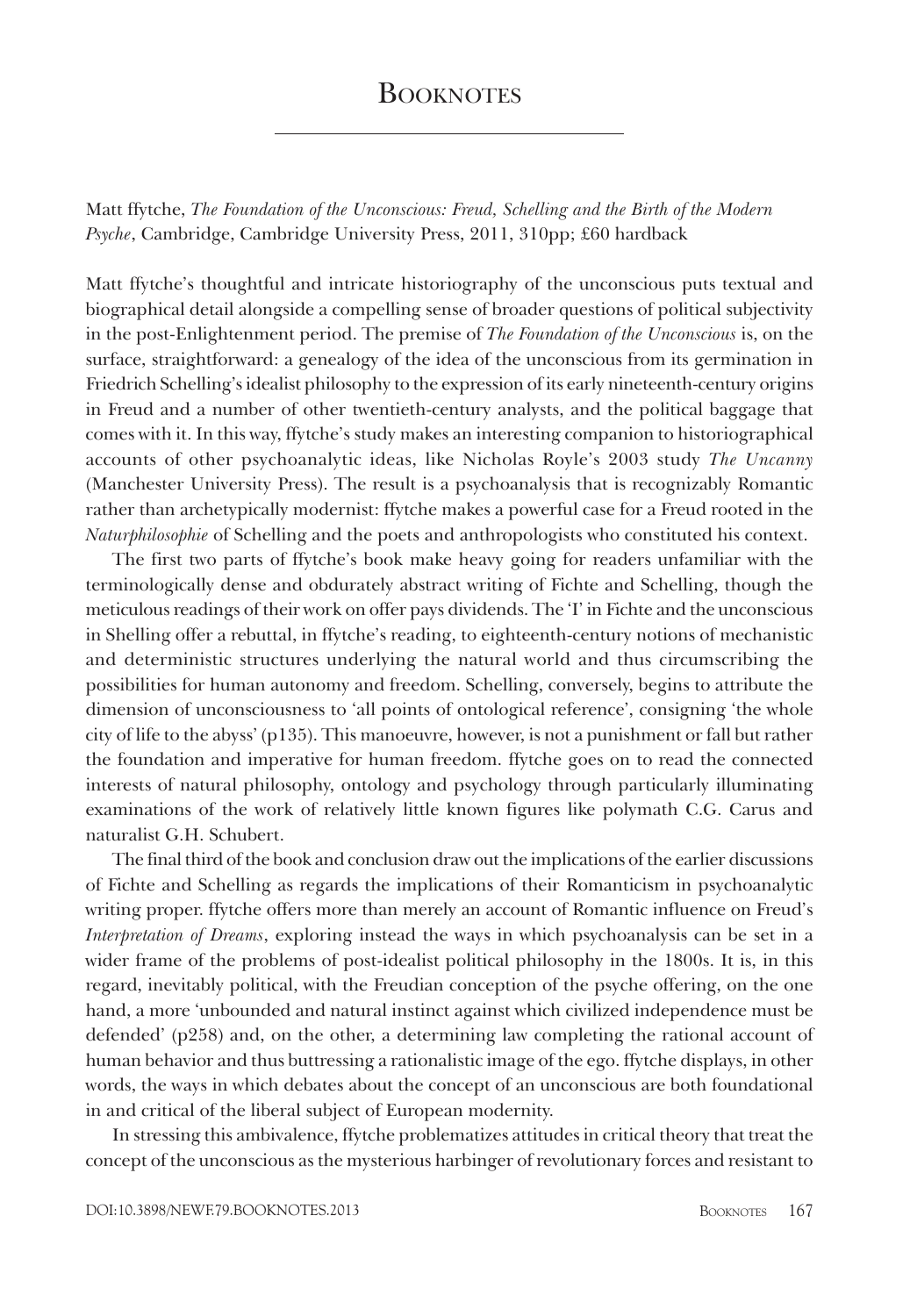## **BOOKNOTES**

Matt ffytche, *The Foundation of the Unconscious: Freud, Schelling and the Birth of the Modern Psyche*, Cambridge, Cambridge University Press, 2011, 310pp; £60 hardback

Matt ffytche's thoughtful and intricate historiography of the unconscious puts textual and biographical detail alongside a compelling sense of broader questions of political subjectivity in the post-Enlightenment period. The premise of *The Foundation of the Unconscious* is, on the surface, straightforward: a genealogy of the idea of the unconscious from its germination in Friedrich Schelling's idealist philosophy to the expression of its early nineteenth-century origins in Freud and a number of other twentieth-century analysts, and the political baggage that comes with it. In this way, ffytche's study makes an interesting companion to historiographical accounts of other psychoanalytic ideas, like Nicholas Royle's 2003 study *The Uncanny*  (Manchester University Press). The result is a psychoanalysis that is recognizably Romantic rather than archetypically modernist: ffytche makes a powerful case for a Freud rooted in the *Naturphilosophie* of Schelling and the poets and anthropologists who constituted his context.

The first two parts of ffytche's book make heavy going for readers unfamiliar with the terminologically dense and obdurately abstract writing of Fichte and Schelling, though the meticulous readings of their work on offer pays dividends. The 'I' in Fichte and the unconscious in Shelling offer a rebuttal, in ffytche's reading, to eighteenth-century notions of mechanistic and deterministic structures underlying the natural world and thus circumscribing the possibilities for human autonomy and freedom. Schelling, conversely, begins to attribute the dimension of unconsciousness to 'all points of ontological reference', consigning 'the whole city of life to the abyss' (p135). This manoeuvre, however, is not a punishment or fall but rather the foundation and imperative for human freedom. ffytche goes on to read the connected interests of natural philosophy, ontology and psychology through particularly illuminating examinations of the work of relatively little known figures like polymath C.G. Carus and naturalist G.H. Schubert.

The final third of the book and conclusion draw out the implications of the earlier discussions of Fichte and Schelling as regards the implications of their Romanticism in psychoanalytic writing proper. ffytche offers more than merely an account of Romantic influence on Freud's *Interpretation of Dreams*, exploring instead the ways in which psychoanalysis can be set in a wider frame of the problems of post-idealist political philosophy in the 1800s. It is, in this regard, inevitably political, with the Freudian conception of the psyche offering, on the one hand, a more 'unbounded and natural instinct against which civilized independence must be defended' (p258) and, on the other, a determining law completing the rational account of human behavior and thus buttressing a rationalistic image of the ego. ffytche displays, in other words, the ways in which debates about the concept of an unconscious are both foundational in and critical of the liberal subject of European modernity.

In stressing this ambivalence, ffytche problematizes attitudes in critical theory that treat the concept of the unconscious as the mysterious harbinger of revolutionary forces and resistant to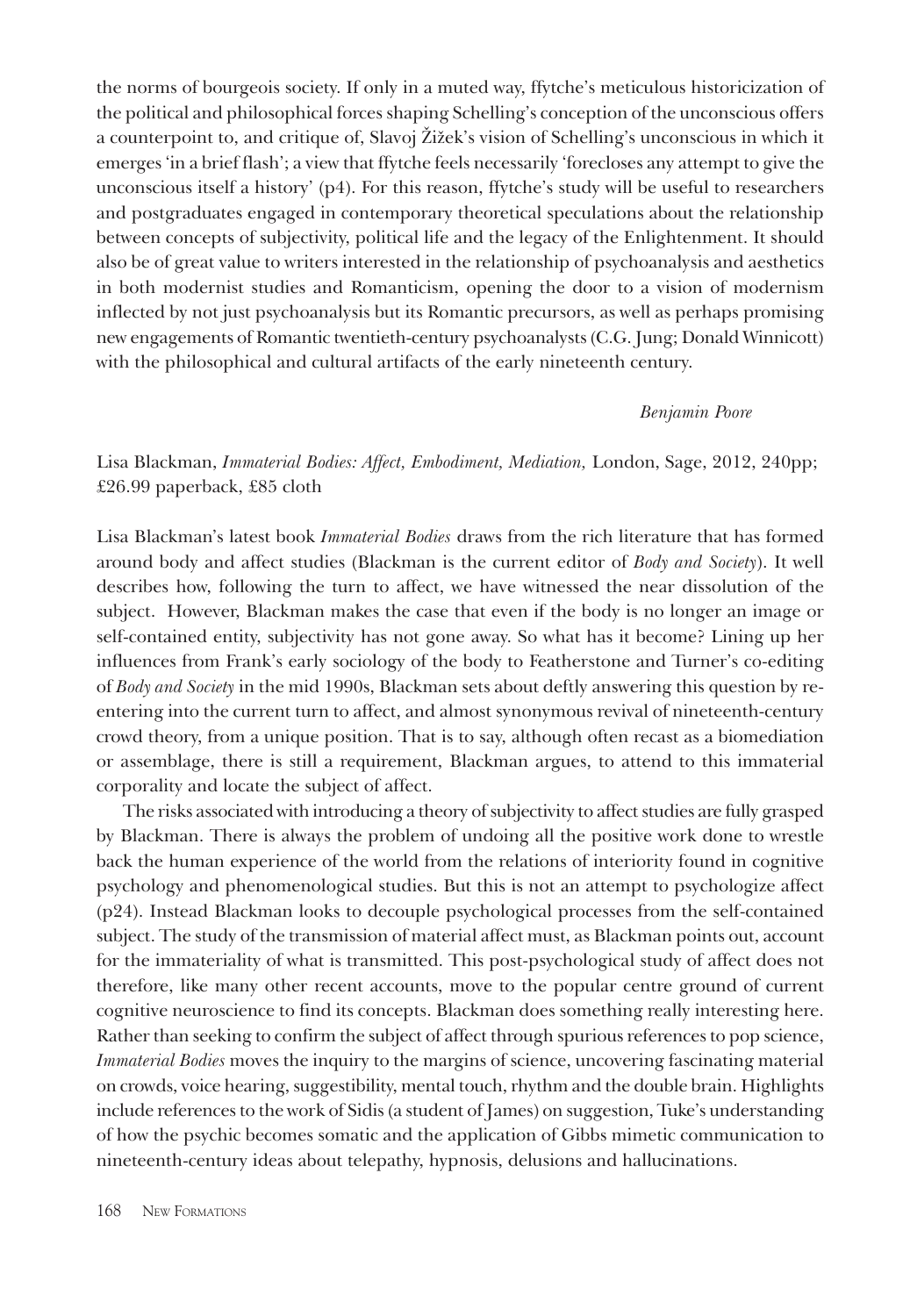the norms of bourgeois society. If only in a muted way, ffytche's meticulous historicization of the political and philosophical forces shaping Schelling's conception of the unconscious offers a counterpoint to, and critique of, Slavoj Žižek's vision of Schelling's unconscious in which it emerges 'in a brief flash'; a view that ffytche feels necessarily 'forecloses any attempt to give the unconscious itself a history' (p4). For this reason, ffytche's study will be useful to researchers and postgraduates engaged in contemporary theoretical speculations about the relationship between concepts of subjectivity, political life and the legacy of the Enlightenment. It should also be of great value to writers interested in the relationship of psychoanalysis and aesthetics in both modernist studies and Romanticism, opening the door to a vision of modernism inflected by not just psychoanalysis but its Romantic precursors, as well as perhaps promising new engagements of Romantic twentieth-century psychoanalysts (C.G. Jung; Donald Winnicott) with the philosophical and cultural artifacts of the early nineteenth century.

## *Benjamin Poore*

Lisa Blackman, *Immaterial Bodies: Affect, Embodiment, Mediation,* London, Sage, 2012, 240pp; £26.99 paperback, £85 cloth

Lisa Blackman's latest book *Immaterial Bodies* draws from the rich literature that has formed around body and affect studies (Blackman is the current editor of *Body and Society*). It well describes how, following the turn to affect, we have witnessed the near dissolution of the subject. However, Blackman makes the case that even if the body is no longer an image or self-contained entity, subjectivity has not gone away. So what has it become? Lining up her influences from Frank's early sociology of the body to Featherstone and Turner's co-editing of *Body and Society* in the mid 1990s, Blackman sets about deftly answering this question by reentering into the current turn to affect, and almost synonymous revival of nineteenth-century crowd theory, from a unique position. That is to say, although often recast as a biomediation or assemblage, there is still a requirement, Blackman argues, to attend to this immaterial corporality and locate the subject of affect.

The risks associated with introducing a theory of subjectivity to affect studies are fully grasped by Blackman. There is always the problem of undoing all the positive work done to wrestle back the human experience of the world from the relations of interiority found in cognitive psychology and phenomenological studies. But this is not an attempt to psychologize affect (p24). Instead Blackman looks to decouple psychological processes from the self-contained subject. The study of the transmission of material affect must, as Blackman points out, account for the immateriality of what is transmitted. This post-psychological study of affect does not therefore, like many other recent accounts, move to the popular centre ground of current cognitive neuroscience to find its concepts. Blackman does something really interesting here. Rather than seeking to confirm the subject of affect through spurious references to pop science, *Immaterial Bodies* moves the inquiry to the margins of science, uncovering fascinating material on crowds, voice hearing, suggestibility, mental touch, rhythm and the double brain. Highlights include references to the work of Sidis (a student of James) on suggestion, Tuke's understanding of how the psychic becomes somatic and the application of Gibbs mimetic communication to nineteenth-century ideas about telepathy, hypnosis, delusions and hallucinations.